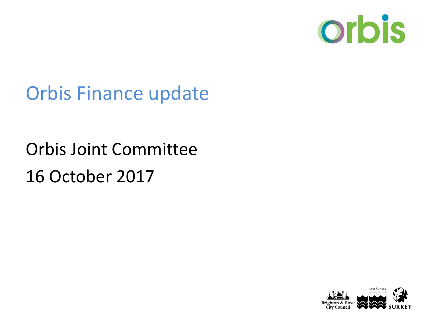

### Orbis Finance update

# Orbis Joint Committee 16 October 2017

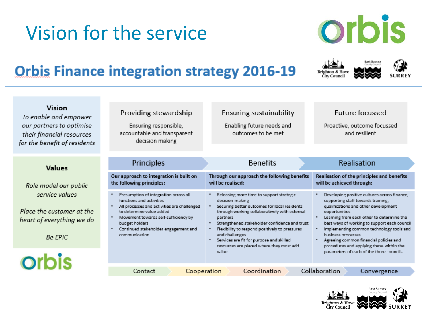## Vision for the service



**Brighton & Hov** ity Council

East Susse

#### **Orbis Finance integration strategy 2016-19**

| Realisation<br>Principles<br><b>Benefits</b><br><b>Values</b><br>Our approach to integration is built on<br>Through our approach the following benefits<br>will be realised:<br>will be achieved through:<br>the following principles:<br>Role model our public<br>service values<br>Presumption of integration across all<br>Releasing more time to support strategic<br>functions and activities<br>decision-making<br>supporting staff towards training,<br>All processes and activities are challenged<br>Securing better outcomes for local residents<br>qualifications and other development<br>Place the customer at the<br>to determine value added<br>through working collaboratively with external<br>opportunities<br>Movement towards self-sufficiency by<br>٠<br>partners<br>ieart of everything we do<br>Strengthened stakeholder confidence and trust<br>budget holders<br>Continued stakeholder engagement and<br>Flexibility to respond positively to pressures<br>communication<br>and challenges<br>business processes<br><b>Be EPIC</b><br>Services are fit for purpose and skilled<br>Agreeing common financial policies and<br>procedures and applying these within the<br>resources are placed where they most add<br>parameters of each of the three councils<br>value<br><b>orbis</b><br>Collaboration<br>Coordination<br>Contact<br>Cooperation<br>Convergence | Vision<br>To enable and empower<br>our partners to optimise<br>their financial resources<br>or the benefit of residents | Providing stewardship<br>Ensuring responsible,<br>accountable and transparent<br>decision making | <b>Ensuring sustainability</b><br>Enabling future needs and<br>outcomes to be met | Future focussed<br>Proactive, outcome focussed<br>and resilient                                                                                                                       |
|------------------------------------------------------------------------------------------------------------------------------------------------------------------------------------------------------------------------------------------------------------------------------------------------------------------------------------------------------------------------------------------------------------------------------------------------------------------------------------------------------------------------------------------------------------------------------------------------------------------------------------------------------------------------------------------------------------------------------------------------------------------------------------------------------------------------------------------------------------------------------------------------------------------------------------------------------------------------------------------------------------------------------------------------------------------------------------------------------------------------------------------------------------------------------------------------------------------------------------------------------------------------------------------------------------------------------------------------------------------------------------------|-------------------------------------------------------------------------------------------------------------------------|--------------------------------------------------------------------------------------------------|-----------------------------------------------------------------------------------|---------------------------------------------------------------------------------------------------------------------------------------------------------------------------------------|
|                                                                                                                                                                                                                                                                                                                                                                                                                                                                                                                                                                                                                                                                                                                                                                                                                                                                                                                                                                                                                                                                                                                                                                                                                                                                                                                                                                                          |                                                                                                                         |                                                                                                  |                                                                                   |                                                                                                                                                                                       |
|                                                                                                                                                                                                                                                                                                                                                                                                                                                                                                                                                                                                                                                                                                                                                                                                                                                                                                                                                                                                                                                                                                                                                                                                                                                                                                                                                                                          |                                                                                                                         |                                                                                                  |                                                                                   | Realisation of the principles and benefits                                                                                                                                            |
|                                                                                                                                                                                                                                                                                                                                                                                                                                                                                                                                                                                                                                                                                                                                                                                                                                                                                                                                                                                                                                                                                                                                                                                                                                                                                                                                                                                          |                                                                                                                         |                                                                                                  |                                                                                   | Developing positive cultures across finance,<br>Learning from each other to determine the<br>best ways of working to support each council<br>Implementing common technology tools and |
|                                                                                                                                                                                                                                                                                                                                                                                                                                                                                                                                                                                                                                                                                                                                                                                                                                                                                                                                                                                                                                                                                                                                                                                                                                                                                                                                                                                          |                                                                                                                         |                                                                                                  |                                                                                   |                                                                                                                                                                                       |
|                                                                                                                                                                                                                                                                                                                                                                                                                                                                                                                                                                                                                                                                                                                                                                                                                                                                                                                                                                                                                                                                                                                                                                                                                                                                                                                                                                                          |                                                                                                                         |                                                                                                  |                                                                                   |                                                                                                                                                                                       |

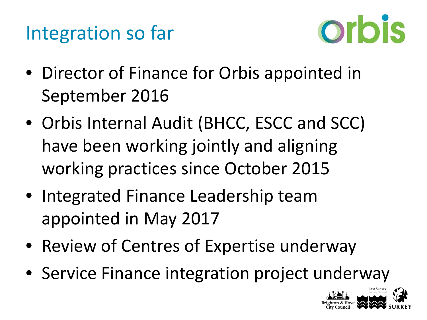



- Director of Finance for Orbis appointed in September 2016
- Orbis Internal Audit (BHCC, ESCC and SCC) have been working jointly and aligning working practices since October 2015
- Integrated Finance Leadership team appointed in May 2017
- Review of Centres of Expertise underway
- Service Finance integration project underway

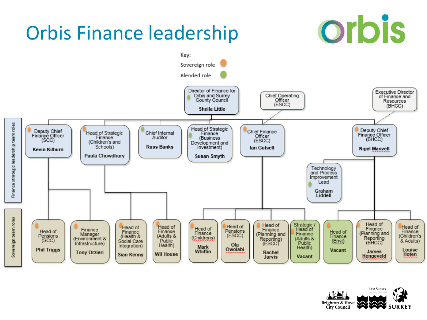

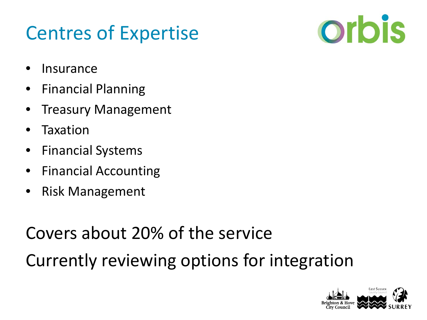### Centres of Expertise



- **Insurance**
- Financial Planning
- Treasury Management
- **Taxation**
- Financial Systems
- Financial Accounting
- Risk Management

Covers about 20% of the service

Currently reviewing options for integration

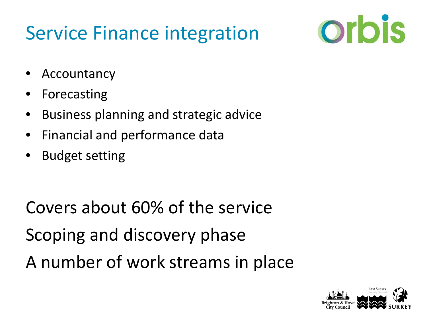## Service Finance integration



- **Accountancy**
- **Forecasting**
- Business planning and strategic advice
- Financial and performance data
- Budget setting

Covers about 60% of the service Scoping and discovery phase A number of work streams in place

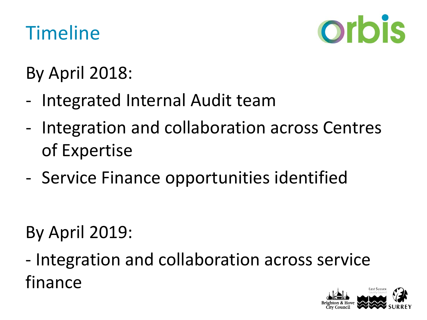### Timeline



By April 2018:

- Integrated Internal Audit team
- Integration and collaboration across Centres of Expertise
- Service Finance opportunities identified

By April 2019:

- Integration and collaboration across service finance

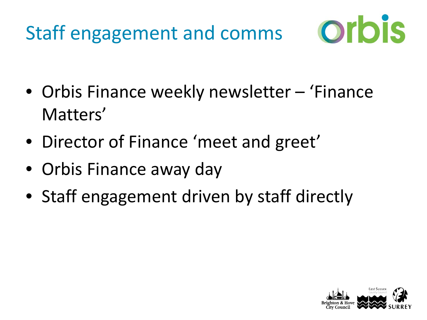



- Orbis Finance weekly newsletter 'Finance Matters'
- Director of Finance 'meet and greet'
- Orbis Finance away day
- Staff engagement driven by staff directly